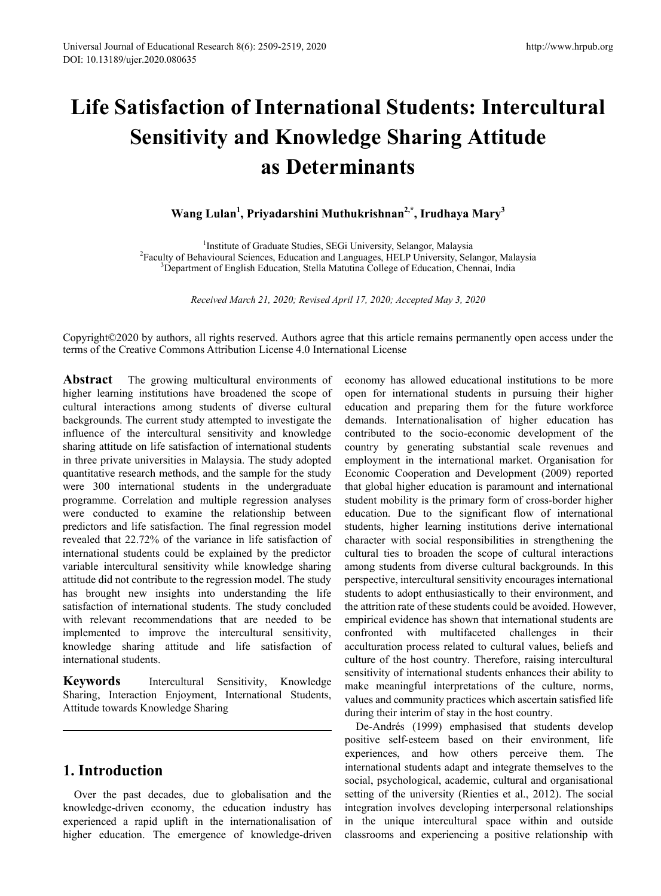# **Life Satisfaction of International Students: Intercultural Sensitivity and Knowledge Sharing Attitude as Determinants**

**Wang Lulan1 , Priyadarshini Muthukrishnan2,\*, Irudhaya Mary<sup>3</sup>**

<sup>1</sup>Institute of Graduate Studies, SEGi University, Selangor, Malaysia Institute of Graduate Studies, SEGi University, Selangor, Malaysia<sup>2</sup><br><sup>2</sup> Eaculty of Behavioural Sciences, Education and Languages, HELP University, Sel Faculty of Behavioural Sciences, Education and Languages, HELP University, Selangor, Malaysia<br><sup>3</sup>Department of English Education, Stella Matutina College of Education, Chennai, India <sup>3</sup>Department of English Education, Stella Matutina College of Education, Chennai, India

*Received March 21, 2020; Revised April 17, 2020; Accepted May 3, 2020*

Copyright©2020 by authors, all rights reserved. Authors agree that this article remains permanently open access under the terms of the Creative Commons Attribution License 4.0 International License

**Abstract** The growing multicultural environments of higher learning institutions have broadened the scope of cultural interactions among students of diverse cultural backgrounds. The current study attempted to investigate the influence of the intercultural sensitivity and knowledge sharing attitude on life satisfaction of international students in three private universities in Malaysia. The study adopted quantitative research methods, and the sample for the study were 300 international students in the undergraduate programme. Correlation and multiple regression analyses were conducted to examine the relationship between predictors and life satisfaction. The final regression model revealed that 22.72% of the variance in life satisfaction of international students could be explained by the predictor variable intercultural sensitivity while knowledge sharing attitude did not contribute to the regression model. The study has brought new insights into understanding the life satisfaction of international students. The study concluded with relevant recommendations that are needed to be implemented to improve the intercultural sensitivity, knowledge sharing attitude and life satisfaction of international students.

**Keywords** Intercultural Sensitivity, Knowledge Sharing, Interaction Enjoyment, International Students, Attitude towards Knowledge Sharing

# **1. Introduction**

Over the past decades, due to globalisation and the knowledge-driven economy, the education industry has experienced a rapid uplift in the internationalisation of higher education. The emergence of knowledge-driven economy has allowed educational institutions to be more open for international students in pursuing their higher education and preparing them for the future workforce demands. Internationalisation of higher education has contributed to the socio-economic development of the country by generating substantial scale revenues and employment in the international market. Organisation for Economic Cooperation and Development (2009) reported that global higher education is paramount and international student mobility is the primary form of cross-border higher education. Due to the significant flow of international students, higher learning institutions derive international character with social responsibilities in strengthening the cultural ties to broaden the scope of cultural interactions among students from diverse cultural backgrounds. In this perspective, intercultural sensitivity encourages international students to adopt enthusiastically to their environment, and the attrition rate of these students could be avoided. However, empirical evidence has shown that international students are confronted with multifaceted challenges in their acculturation process related to cultural values, beliefs and culture of the host country. Therefore, raising intercultural sensitivity of international students enhances their ability to make meaningful interpretations of the culture, norms, values and community practices which ascertain satisfied life during their interim of stay in the host country.

De-Andrés (1999) emphasised that students develop positive self-esteem based on their environment, life experiences, and how others perceive them. The international students adapt and integrate themselves to the social, psychological, academic, cultural and organisational setting of the university (Rienties et al., 2012). The social integration involves developing interpersonal relationships in the unique intercultural space within and outside classrooms and experiencing a positive relationship with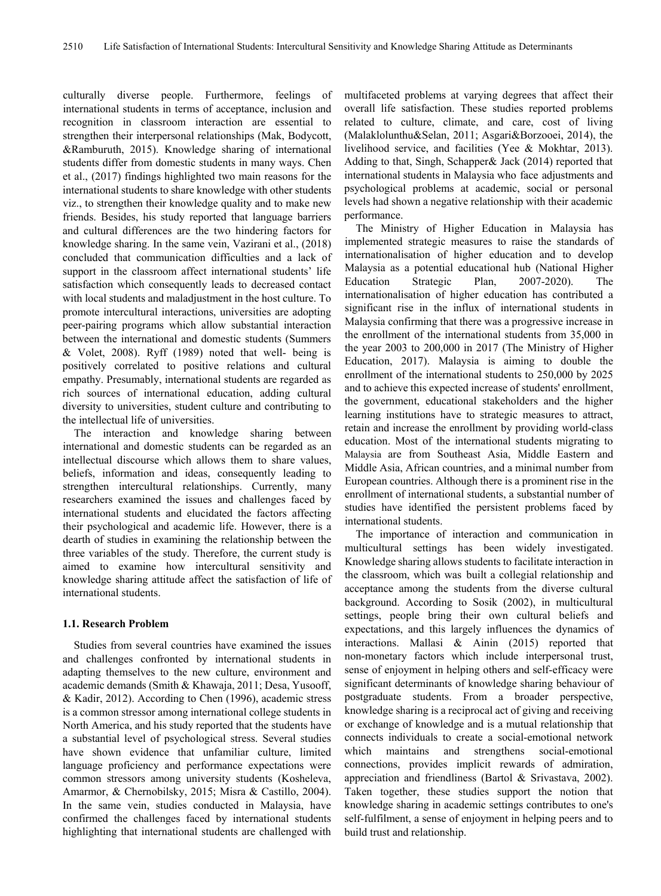culturally diverse people. Furthermore, feelings of international students in terms of acceptance, inclusion and recognition in classroom interaction are essential to strengthen their interpersonal relationships (Mak, Bodycott, &Ramburuth, 2015). Knowledge sharing of international students differ from domestic students in many ways. Chen et al., (2017) findings highlighted two main reasons for the international students to share knowledge with other students viz., to strengthen their knowledge quality and to make new friends. Besides, his study reported that language barriers and cultural differences are the two hindering factors for knowledge sharing. In the same vein, Vazirani et al., (2018) concluded that communication difficulties and a lack of support in the classroom affect international students' life satisfaction which consequently leads to decreased contact with local students and maladjustment in the host culture. To promote intercultural interactions, universities are adopting peer-pairing programs which allow substantial interaction between the international and domestic students (Summers & Volet, 2008). Ryff (1989) noted that well- being is positively correlated to positive relations and cultural empathy. Presumably, international students are regarded as rich sources of international education, adding cultural diversity to universities, student culture and contributing to the intellectual life of universities.

The interaction and knowledge sharing between international and domestic students can be regarded as an intellectual discourse which allows them to share values, beliefs, information and ideas, consequently leading to strengthen intercultural relationships. Currently, many researchers examined the issues and challenges faced by international students and elucidated the factors affecting their psychological and academic life. However, there is a dearth of studies in examining the relationship between the three variables of the study. Therefore, the current study is aimed to examine how intercultural sensitivity and knowledge sharing attitude affect the satisfaction of life of international students.

#### **1.1. Research Problem**

Studies from several countries have examined the issues and challenges confronted by international students in adapting themselves to the new culture, environment and academic demands (Smith & Khawaja, 2011; Desa, Yusooff, & Kadir, 2012). According to Chen (1996), academic stress is a common stressor among international college students in North America, and his study reported that the students have a substantial level of psychological stress. Several studies have shown evidence that unfamiliar culture, limited language proficiency and performance expectations were common stressors among university students (Kosheleva, Amarmor, & Chernobilsky, 2015; Misra & Castillo, 2004). In the same vein, studies conducted in Malaysia, have confirmed the challenges faced by international students highlighting that international students are challenged with

multifaceted problems at varying degrees that affect their overall life satisfaction. These studies reported problems related to culture, climate, and care, cost of living (Malaklolunthu&Selan, 2011; Asgari&Borzooei, 2014), the livelihood service, and facilities (Yee & Mokhtar, 2013). Adding to that, Singh, Schapper& Jack (2014) reported that international students in Malaysia who face adjustments and psychological problems at academic, social or personal levels had shown a negative relationship with their academic performance.

The Ministry of Higher Education in Malaysia has implemented strategic measures to raise the standards of internationalisation of higher education and to develop Malaysia as a potential educational hub (National Higher Education Strategic Plan, 2007-2020). The internationalisation of higher education has contributed a significant rise in the influx of international students in Malaysia confirming that there was a progressive increase in the enrollment of the international students from 35,000 in the year 2003 to 200,000 in 2017 (The Ministry of Higher Education, 2017). Malaysia is aiming to double the enrollment of the international students to 250,000 by 2025 and to achieve this expected increase of students' enrollment, the government, educational stakeholders and the higher learning institutions have to strategic measures to attract, retain and increase the enrollment by providing world-class education. Most of the international students migrating to Malaysia are from Southeast Asia, Middle Eastern and Middle Asia, African countries, and a minimal number from European countries. Although there is a prominent rise in the enrollment of international students, a substantial number of studies have identified the persistent problems faced by international students.

The importance of interaction and communication in multicultural settings has been widely investigated. Knowledge sharing allows students to facilitate interaction in the classroom, which was built a collegial relationship and acceptance among the students from the diverse cultural background. According to Sosik (2002), in multicultural settings, people bring their own cultural beliefs and expectations, and this largely influences the dynamics of interactions. Mallasi & Ainin (2015) reported that non-monetary factors which include interpersonal trust, sense of enjoyment in helping others and self-efficacy were significant determinants of knowledge sharing behaviour of postgraduate students. From a broader perspective, knowledge sharing is a reciprocal act of giving and receiving or exchange of knowledge and is a mutual relationship that connects individuals to create a social-emotional network which maintains and strengthens social-emotional connections, provides implicit rewards of admiration, appreciation and friendliness (Bartol & Srivastava, 2002). Taken together, these studies support the notion that knowledge sharing in academic settings contributes to one's self-fulfilment, a sense of enjoyment in helping peers and to build trust and relationship.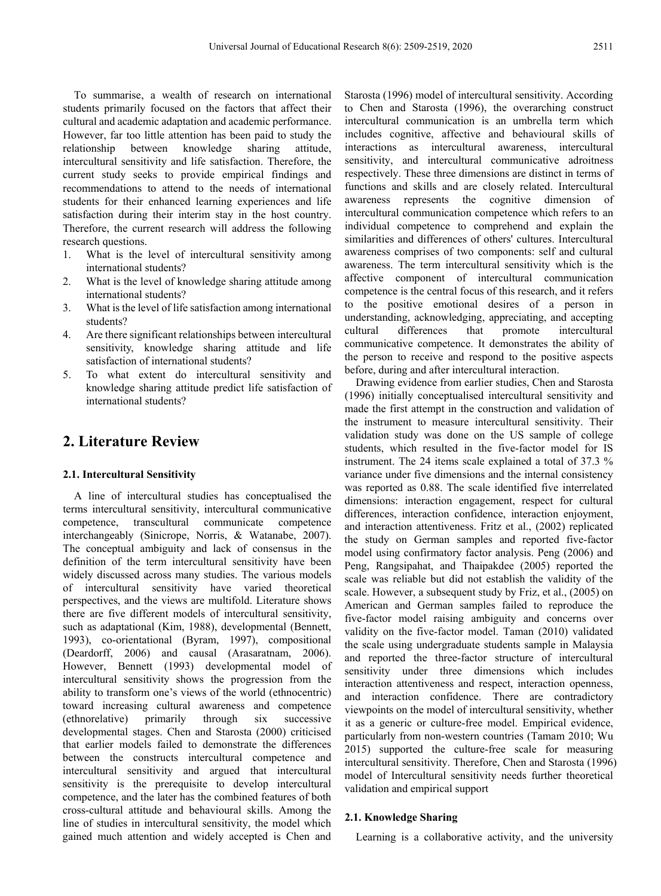To summarise, a wealth of research on international students primarily focused on the factors that affect their cultural and academic adaptation and academic performance. However, far too little attention has been paid to study the relationship between knowledge sharing attitude, intercultural sensitivity and life satisfaction. Therefore, the current study seeks to provide empirical findings and recommendations to attend to the needs of international students for their enhanced learning experiences and life satisfaction during their interim stay in the host country. Therefore, the current research will address the following research questions.

- 1. What is the level of intercultural sensitivity among international students?
- 2. What is the level of knowledge sharing attitude among international students?
- 3. What is the level of life satisfaction among international students?
- 4. Are there significant relationships between intercultural sensitivity, knowledge sharing attitude and life satisfaction of international students?
- 5. To what extent do intercultural sensitivity and knowledge sharing attitude predict life satisfaction of international students?

# **2. Literature Review**

#### **2.1. Intercultural Sensitivity**

A line of intercultural studies has conceptualised the terms intercultural sensitivity, intercultural communicative competence, transcultural communicate competence interchangeably (Sinicrope, Norris, & Watanabe, 2007). The conceptual ambiguity and lack of consensus in the definition of the term intercultural sensitivity have been widely discussed across many studies. The various models of intercultural sensitivity have varied theoretical perspectives, and the views are multifold. Literature shows there are five different models of intercultural sensitivity, such as adaptational (Kim, 1988), developmental (Bennett, 1993), co-orientational (Byram, 1997), compositional (Deardorff, 2006) and causal (Arasaratnam, 2006). However, Bennett (1993) developmental model of intercultural sensitivity shows the progression from the ability to transform one's views of the world (ethnocentric) toward increasing cultural awareness and competence (ethnorelative) primarily through six successive developmental stages. Chen and Starosta (2000) criticised that earlier models failed to demonstrate the differences between the constructs intercultural competence and intercultural sensitivity and argued that intercultural sensitivity is the prerequisite to develop intercultural competence, and the later has the combined features of both cross-cultural attitude and behavioural skills. Among the line of studies in intercultural sensitivity, the model which gained much attention and widely accepted is Chen and Starosta (1996) model of intercultural sensitivity. According to Chen and Starosta (1996), the overarching construct intercultural communication is an umbrella term which includes cognitive, affective and behavioural skills of interactions as intercultural awareness, intercultural sensitivity, and intercultural communicative adroitness respectively. These three dimensions are distinct in terms of functions and skills and are closely related. Intercultural awareness represents the cognitive dimension of intercultural communication competence which refers to an individual competence to comprehend and explain the similarities and differences of others' cultures. Intercultural awareness comprises of two components: self and cultural awareness. The term intercultural sensitivity which is the affective component of intercultural communication competence is the central focus of this research, and it refers to the positive emotional desires of a person in understanding, acknowledging, appreciating, and accepting<br>cultural differences that promote intercultural cultural differences that promote intercultural communicative competence. It demonstrates the ability of the person to receive and respond to the positive aspects before, during and after intercultural interaction.

Drawing evidence from earlier studies, Chen and Starosta (1996) initially conceptualised intercultural sensitivity and made the first attempt in the construction and validation of the instrument to measure intercultural sensitivity. Their validation study was done on the US sample of college students, which resulted in the five-factor model for IS instrument. The 24 items scale explained a total of 37.3 % variance under five dimensions and the internal consistency was reported as 0.88. The scale identified five interrelated dimensions: interaction engagement, respect for cultural differences, interaction confidence, interaction enjoyment, and interaction attentiveness. Fritz et al., (2002) replicated the study on German samples and reported five-factor model using confirmatory factor analysis. Peng (2006) and Peng, Rangsipahat, and Thaipakdee (2005) reported the scale was reliable but did not establish the validity of the scale. However, a subsequent study by Friz, et al., (2005) on American and German samples failed to reproduce the five-factor model raising ambiguity and concerns over validity on the five-factor model. Taman (2010) validated the scale using undergraduate students sample in Malaysia and reported the three-factor structure of intercultural sensitivity under three dimensions which includes interaction attentiveness and respect, interaction openness, and interaction confidence. There are contradictory viewpoints on the model of intercultural sensitivity, whether it as a generic or culture-free model. Empirical evidence, particularly from non-western countries (Tamam 2010; Wu 2015) supported the culture-free scale for measuring intercultural sensitivity. Therefore, Chen and Starosta (1996) model of Intercultural sensitivity needs further theoretical validation and empirical support

#### **2.1. Knowledge Sharing**

Learning is a collaborative activity, and the university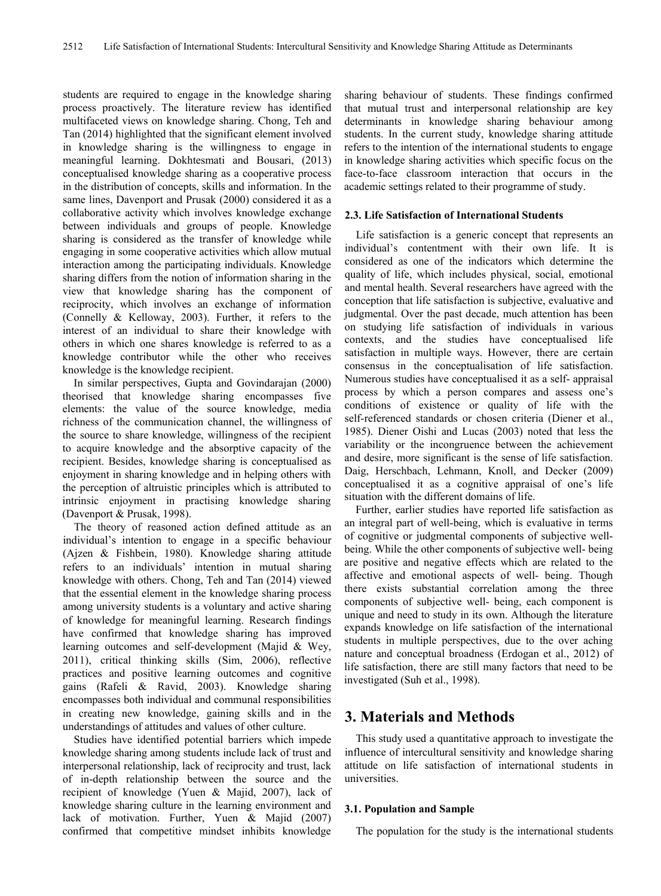students are required to engage in the knowledge sharing process proactively. The literature review has identified multifaceted views on knowledge sharing. Chong, Teh and Tan (2014) highlighted that the significant element involved in knowledge sharing is the willingness to engage in meaningful learning. Dokhtesmati and Bousari, (2013) conceptualised knowledge sharing as a cooperative process in the distribution of concepts, skills and information. In the same lines, Davenport and Prusak (2000) considered it as a collaborative activity which involves knowledge exchange between individuals and groups of people. Knowledge sharing is considered as the transfer of knowledge while engaging in some cooperative activities which allow mutual interaction among the participating individuals. Knowledge sharing differs from the notion of information sharing in the view that knowledge sharing has the component of reciprocity, which involves an exchange of information (Connelly & Kelloway, 2003). Further, it refers to the interest of an individual to share their knowledge with others in which one shares knowledge is referred to as a knowledge contributor while the other who receives knowledge is the knowledge recipient.

In similar perspectives, Gupta and Govindarajan (2000) theorised that knowledge sharing encompasses five elements: the value of the source knowledge, media richness of the communication channel, the willingness of the source to share knowledge, willingness of the recipient to acquire knowledge and the absorptive capacity of the recipient. Besides, knowledge sharing is conceptualised as enjoyment in sharing knowledge and in helping others with the perception of altruistic principles which is attributed to intrinsic enjoyment in practising knowledge sharing (Davenport & Prusak, 1998).

The theory of reasoned action defined attitude as an individual's intention to engage in a specific behaviour (Ajzen & Fishbein, 1980). Knowledge sharing attitude refers to an individuals' intention in mutual sharing knowledge with others. Chong, Teh and Tan (2014) viewed that the essential element in the knowledge sharing process among university students is a voluntary and active sharing of knowledge for meaningful learning. Research findings have confirmed that knowledge sharing has improved learning outcomes and self-development (Majid & Wey, 2011), critical thinking skills (Sim, 2006), reflective practices and positive learning outcomes and cognitive gains (Rafeli & Ravid, 2003). Knowledge sharing encompasses both individual and communal responsibilities in creating new knowledge, gaining skills and in the understandings of attitudes and values of other culture.

Studies have identified potential barriers which impede knowledge sharing among students include lack of trust and interpersonal relationship, lack of reciprocity and trust, lack of in-depth relationship between the source and the recipient of knowledge (Yuen & Majid, 2007), lack of knowledge sharing culture in the learning environment and lack of motivation. Further, Yuen & Majid (2007) confirmed that competitive mindset inhibits knowledge sharing behaviour of students. These findings confirmed that mutual trust and interpersonal relationship are key determinants in knowledge sharing behaviour among students. In the current study, knowledge sharing attitude refers to the intention of the international students to engage in knowledge sharing activities which specific focus on the face-to-face classroom interaction that occurs in the academic settings related to their programme of study.

#### **2.3. Life Satisfaction of International Students**

Life satisfaction is a generic concept that represents an individual's contentment with their own life. It is considered as one of the indicators which determine the quality of life, which includes physical, social, emotional and mental health. Several researchers have agreed with the conception that life satisfaction is subjective, evaluative and judgmental. Over the past decade, much attention has been on studying life satisfaction of individuals in various contexts, and the studies have conceptualised life satisfaction in multiple ways. However, there are certain consensus in the conceptualisation of life satisfaction. Numerous studies have conceptualised it as a self- appraisal process by which a person compares and assess one's conditions of existence or quality of life with the self-referenced standards or chosen criteria (Diener et al., 1985). Diener Oishi and Lucas (2003) noted that less the variability or the incongruence between the achievement and desire, more significant is the sense of life satisfaction. Daig, Herschbach, Lehmann, Knoll, and Decker (2009) conceptualised it as a cognitive appraisal of one's life situation with the different domains of life.

Further, earlier studies have reported life satisfaction as an integral part of well-being, which is evaluative in terms of cognitive or judgmental components of subjective wellbeing. While the other components of subjective well- being are positive and negative effects which are related to the affective and emotional aspects of well- being. Though there exists substantial correlation among the three components of subjective well- being, each component is unique and need to study in its own. Although the literature expands knowledge on life satisfaction of the international students in multiple perspectives, due to the over aching nature and conceptual broadness (Erdogan et al., 2012) of life satisfaction, there are still many factors that need to be investigated (Suh et al., 1998).

# **3. Materials and Methods**

This study used a quantitative approach to investigate the influence of intercultural sensitivity and knowledge sharing attitude on life satisfaction of international students in universities.

### **3.1. Population and Sample**

The population for the study is the international students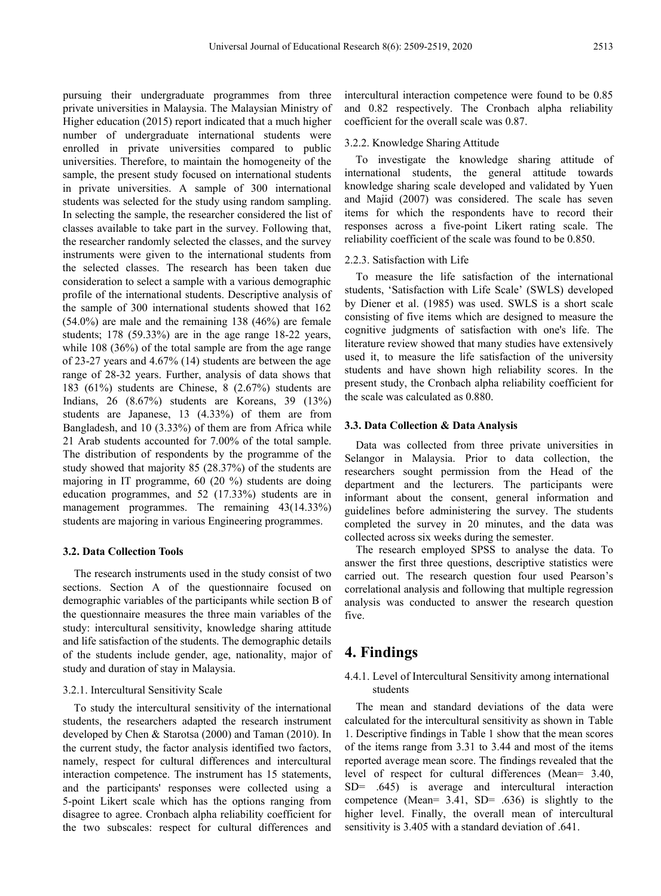pursuing their undergraduate programmes from three private universities in Malaysia. The Malaysian Ministry of Higher education (2015) report indicated that a much higher number of undergraduate international students were enrolled in private universities compared to public universities. Therefore, to maintain the homogeneity of the sample, the present study focused on international students in private universities. A sample of 300 international students was selected for the study using random sampling. In selecting the sample, the researcher considered the list of classes available to take part in the survey. Following that, the researcher randomly selected the classes, and the survey instruments were given to the international students from the selected classes. The research has been taken due consideration to select a sample with a various demographic profile of the international students. Descriptive analysis of the sample of 300 international students showed that 162 (54.0%) are male and the remaining 138 (46%) are female students; 178 (59.33%) are in the age range 18-22 years, while 108 (36%) of the total sample are from the age range of 23-27 years and 4.67% (14) students are between the age range of 28-32 years. Further, analysis of data shows that 183 (61%) students are Chinese, 8 (2.67%) students are Indians, 26 (8.67%) students are Koreans, 39 (13%) students are Japanese, 13 (4.33%) of them are from Bangladesh, and 10 (3.33%) of them are from Africa while 21 Arab students accounted for 7.00% of the total sample. The distribution of respondents by the programme of the study showed that majority 85 (28.37%) of the students are majoring in IT programme, 60 (20 %) students are doing education programmes, and 52 (17.33%) students are in management programmes. The remaining 43(14.33%) students are majoring in various Engineering programmes.

#### **3.2. Data Collection Tools**

The research instruments used in the study consist of two sections. Section A of the questionnaire focused on demographic variables of the participants while section B of the questionnaire measures the three main variables of the study: intercultural sensitivity, knowledge sharing attitude and life satisfaction of the students. The demographic details of the students include gender, age, nationality, major of study and duration of stay in Malaysia.

#### 3.2.1. Intercultural Sensitivity Scale

To study the intercultural sensitivity of the international students, the researchers adapted the research instrument developed by Chen & Starotsa (2000) and Taman (2010). In the current study, the factor analysis identified two factors, namely, respect for cultural differences and intercultural interaction competence. The instrument has 15 statements, and the participants' responses were collected using a 5-point Likert scale which has the options ranging from disagree to agree. Cronbach alpha reliability coefficient for the two subscales: respect for cultural differences and

intercultural interaction competence were found to be 0.85 and 0.82 respectively. The Cronbach alpha reliability coefficient for the overall scale was 0.87.

#### 3.2.2. Knowledge Sharing Attitude

To investigate the knowledge sharing attitude of international students, the general attitude towards knowledge sharing scale developed and validated by Yuen and Majid (2007) was considered. The scale has seven items for which the respondents have to record their responses across a five-point Likert rating scale. The reliability coefficient of the scale was found to be 0.850.

#### 2.2.3. Satisfaction with Life

To measure the life satisfaction of the international students, 'Satisfaction with Life Scale' (SWLS) developed by Diener et al. (1985) was used. SWLS is a short scale consisting of five items which are designed to measure the cognitive judgments of satisfaction with one's life. The literature review showed that many studies have extensively used it, to measure the life satisfaction of the university students and have shown high reliability scores. In the present study, the Cronbach alpha reliability coefficient for the scale was calculated as 0.880.

#### **3.3. Data Collection & Data Analysis**

Data was collected from three private universities in Selangor in Malaysia. Prior to data collection, the researchers sought permission from the Head of the department and the lecturers. The participants were informant about the consent, general information and guidelines before administering the survey. The students completed the survey in 20 minutes, and the data was collected across six weeks during the semester.

The research employed SPSS to analyse the data. To answer the first three questions, descriptive statistics were carried out. The research question four used Pearson's correlational analysis and following that multiple regression analysis was conducted to answer the research question five.

# **4. Findings**

## 4.4.1. Level of Intercultural Sensitivity among international students

The mean and standard deviations of the data were calculated for the intercultural sensitivity as shown in Table 1. Descriptive findings in Table 1 show that the mean scores of the items range from 3.31 to 3.44 and most of the items reported average mean score. The findings revealed that the level of respect for cultural differences (Mean= 3.40, SD= .645) is average and intercultural interaction competence (Mean= 3.41, SD= .636) is slightly to the higher level. Finally, the overall mean of intercultural sensitivity is 3.405 with a standard deviation of .641.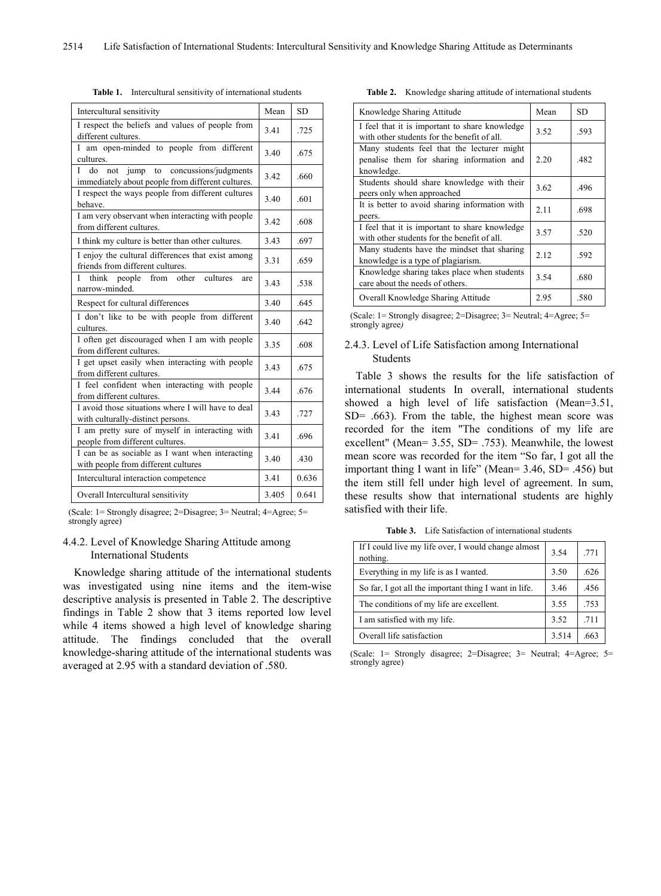| Intercultural sensitivity                                                                            | Mean  | <b>SD</b> |
|------------------------------------------------------------------------------------------------------|-------|-----------|
| I respect the beliefs and values of people from<br>different cultures.                               | 3.41  | .725      |
| I am open-minded to people from different<br>cultures.                                               | 3.40  | .675      |
| jump to concussions/judgments<br>do<br>not<br>L<br>immediately about people from different cultures. | 3.42  | .660      |
| I respect the ways people from different cultures<br>behave.                                         | 3.40  | .601      |
| I am very observant when interacting with people<br>from different cultures.                         | 3.42  | .608      |
| I think my culture is better than other cultures.                                                    | 3.43  | .697      |
| I enjoy the cultural differences that exist among<br>friends from different cultures.                | 3.31  | .659      |
| people<br>from other<br>cultures<br>L<br>think<br>are<br>narrow-minded.                              | 3.43  | .538      |
| Respect for cultural differences                                                                     | 3.40  | .645      |
| I don't like to be with people from different<br>cultures.                                           | 3.40  | .642      |
| I often get discouraged when I am with people<br>from different cultures.                            | 3.35  | .608      |
| I get upset easily when interacting with people<br>from different cultures.                          |       | .675      |
| I feel confident when interacting with people<br>from different cultures.                            |       | .676      |
| I avoid those situations where I will have to deal<br>with culturally-distinct persons.              |       | .727      |
| I am pretty sure of myself in interacting with<br>people from different cultures.                    |       | .696      |
| I can be as sociable as I want when interacting<br>with people from different cultures               |       | .430      |
| Intercultural interaction competence                                                                 | 3.41  | 0.636     |
| Overall Intercultural sensitivity                                                                    | 3.405 | 0.641     |
|                                                                                                      |       |           |

**Table 1.** Intercultural sensitivity of international students

(Scale: 1= Strongly disagree; 2=Disagree; 3= Neutral; 4=Agree; 5= strongly agree)

## 4.4.2. Level of Knowledge Sharing Attitude among International Students

Knowledge sharing attitude of the international students was investigated using nine items and the item-wise descriptive analysis is presented in Table 2. The descriptive findings in Table 2 show that 3 items reported low level while 4 items showed a high level of knowledge sharing attitude. The findings concluded that the overall knowledge-sharing attitude of the international students was averaged at 2.95 with a standard deviation of .580.

**Table 2.** Knowledge sharing attitude of international students

| Knowledge Sharing Attitude                                                                            | Mean | SD   |
|-------------------------------------------------------------------------------------------------------|------|------|
| I feel that it is important to share knowledge<br>with other students for the benefit of all.         | 3.52 | .593 |
| Many students feel that the lecturer might<br>penalise them for sharing information and<br>knowledge. | 2.20 | .482 |
| Students should share knowledge with their<br>peers only when approached                              | 3.62 | .496 |
| It is better to avoid sharing information with<br>peers.                                              | 2.11 | .698 |
| I feel that it is important to share knowledge<br>with other students for the benefit of all.         | 3.57 | .520 |
| Many students have the mindset that sharing<br>knowledge is a type of plagiarism.                     | 2.12 | .592 |
| Knowledge sharing takes place when students<br>care about the needs of others.                        | 3.54 | .680 |
| Overall Knowledge Sharing Attitude                                                                    | 2.95 | .580 |

(Scale: 1= Strongly disagree; 2=Disagree; 3= Neutral; 4=Agree; 5= strongly agree*)*

#### 2.4.3. Level of Life Satisfaction among International Students

Table 3 shows the results for the life satisfaction of international students In overall, international students showed a high level of life satisfaction (Mean=3.51, SD= .663). From the table, the highest mean score was recorded for the item "The conditions of my life are excellent" (Mean= 3.55, SD= .753). Meanwhile, the lowest mean score was recorded for the item "So far, I got all the important thing I want in life" (Mean= 3.46, SD= .456) but the item still fell under high level of agreement. In sum, these results show that international students are highly satisfied with their life.

**Table 3.** Life Satisfaction of international students

| If I could live my life over, I would change almost<br>nothing. | 3.54 | .771 |
|-----------------------------------------------------------------|------|------|
| Everything in my life is as I wanted.                           | 3.50 | .626 |
| So far, I got all the important thing I want in life.           | 3.46 | .456 |
| The conditions of my life are excellent.                        |      | .753 |
| I am satisfied with my life.                                    | 3.52 | .711 |
| Overall life satisfaction                                       |      | -66  |

(Scale: 1= Strongly disagree; 2=Disagree; 3= Neutral; 4=Agree; 5= strongly agree)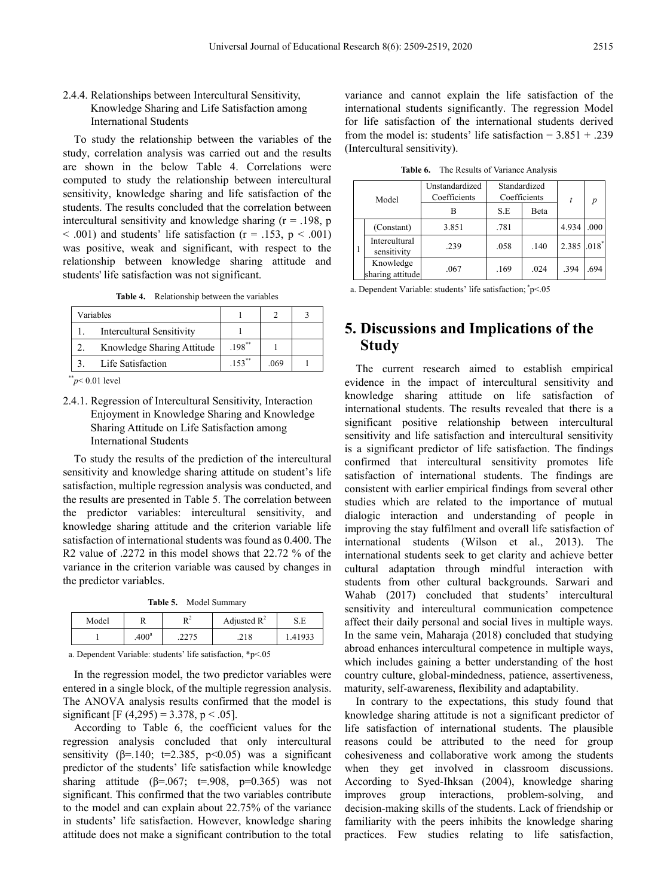## 2.4.4. Relationships between Intercultural Sensitivity, Knowledge Sharing and Life Satisfaction among International Students

To study the relationship between the variables of the study, correlation analysis was carried out and the results are shown in the below Table 4. Correlations were computed to study the relationship between intercultural sensitivity, knowledge sharing and life satisfaction of the students. The results concluded that the correlation between intercultural sensitivity and knowledge sharing  $(r = .198, p$  $< .001$ ) and students' life satisfaction (r = .153, p  $< .001$ ) was positive, weak and significant, with respect to the relationship between knowledge sharing attitude and students' life satisfaction was not significant.

**Table 4.** Relationship between the variables

| Variables                        |           |      |  |
|----------------------------------|-----------|------|--|
| <b>Intercultural Sensitivity</b> |           |      |  |
| Knowledge Sharing Attitude       | $198$ **  |      |  |
| Life Satisfaction                | $.153***$ | .069 |  |

\*\**p*< 0.01 level

## 2.4.1. Regression of Intercultural Sensitivity, Interaction Enjoyment in Knowledge Sharing and Knowledge Sharing Attitude on Life Satisfaction among International Students

To study the results of the prediction of the intercultural sensitivity and knowledge sharing attitude on student's life satisfaction, multiple regression analysis was conducted, and the results are presented in Table 5. The correlation between the predictor variables: intercultural sensitivity, and knowledge sharing attitude and the criterion variable life satisfaction of international students was found as 0.400. The R2 value of .2272 in this model shows that 22.72 % of the variance in the criterion variable was caused by changes in the predictor variables.

**Table 5.** Model Summary

| Model |                   | n <sup>2</sup> | Adjusted $R^2$ | S.E     |
|-------|-------------------|----------------|----------------|---------|
|       | .400 <sup>a</sup> | .2275          | .218           | 1.41933 |

a. Dependent Variable: students' life satisfaction, \*p<.05

In the regression model, the two predictor variables were entered in a single block, of the multiple regression analysis. The ANOVA analysis results confirmed that the model is significant [F (4,295) = 3.378, p < .05].

According to Table 6, the coefficient values for the regression analysis concluded that only intercultural sensitivity ( $\beta$ =.140; t=2.385, p<0.05) was a significant predictor of the students' life satisfaction while knowledge sharing attitude ( $\beta$ =.067; t=.908, p=0.365) was not significant. This confirmed that the two variables contribute to the model and can explain about 22.75% of the variance in students' life satisfaction. However, knowledge sharing attitude does not make a significant contribution to the total

variance and cannot explain the life satisfaction of the international students significantly. The regression Model for life satisfaction of the international students derived from the model is: students' life satisfaction =  $3.851 + .239$ (Intercultural sensitivity).

|  |  | <b>Table 6.</b> The Results of Variance Analysis |
|--|--|--------------------------------------------------|
|--|--|--------------------------------------------------|

| Model |                               | Unstandardized<br>Coefficients | Standardized<br>Coefficients |      | t           | p    |
|-------|-------------------------------|--------------------------------|------------------------------|------|-------------|------|
|       |                               |                                | S.E                          | Beta |             |      |
|       | (Constant)                    | 3.851                          | .781                         |      | 4.934       | .000 |
|       | Intercultural<br>sensitivity  | .239                           | .058                         | .140 | 2.385 .018* |      |
|       | Knowledge<br>sharing attitude | .067                           | .169                         | .024 | 394         | .694 |

a. Dependent Variable: students' life satisfaction; \* p<.05

# **5. Discussions and Implications of the Study**

The current research aimed to establish empirical evidence in the impact of intercultural sensitivity and knowledge sharing attitude on life satisfaction of international students. The results revealed that there is a significant positive relationship between intercultural sensitivity and life satisfaction and intercultural sensitivity is a significant predictor of life satisfaction. The findings confirmed that intercultural sensitivity promotes life satisfaction of international students. The findings are consistent with earlier empirical findings from several other studies which are related to the importance of mutual dialogic interaction and understanding of people in improving the stay fulfilment and overall life satisfaction of international students (Wilson et al., 2013). The international students seek to get clarity and achieve better cultural adaptation through mindful interaction with students from other cultural backgrounds. Sarwari and Wahab (2017) concluded that students' intercultural sensitivity and intercultural communication competence affect their daily personal and social lives in multiple ways. In the same vein, Maharaja (2018) concluded that studying abroad enhances intercultural competence in multiple ways, which includes gaining a better understanding of the host country culture, global-mindedness, patience, assertiveness, maturity, self-awareness, flexibility and adaptability.

In contrary to the expectations, this study found that knowledge sharing attitude is not a significant predictor of life satisfaction of international students. The plausible reasons could be attributed to the need for group cohesiveness and collaborative work among the students when they get involved in classroom discussions. According to Syed-Ihksan (2004), knowledge sharing improves group interactions, problem-solving, and decision-making skills of the students. Lack of friendship or familiarity with the peers inhibits the knowledge sharing practices. Few studies relating to life satisfaction,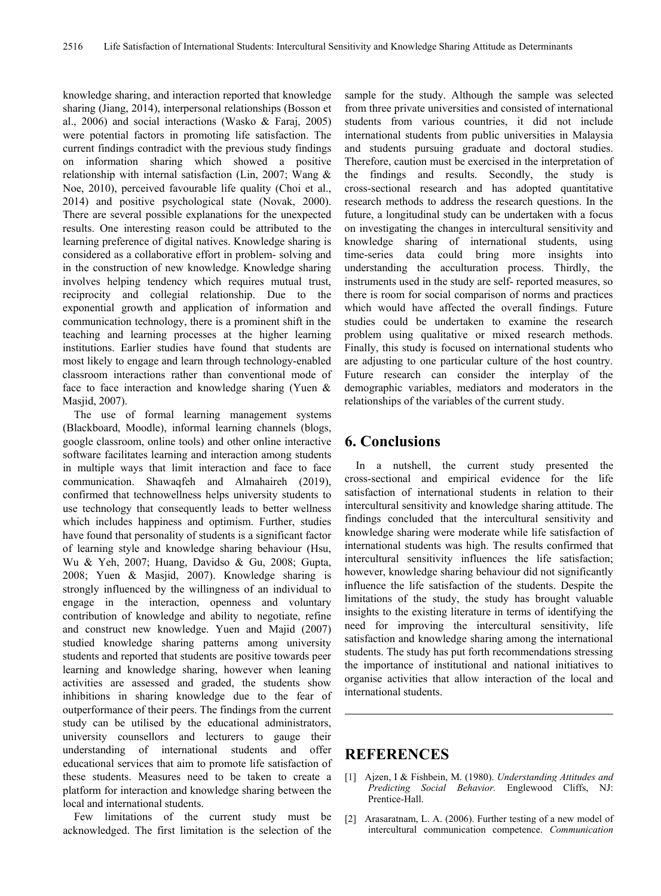knowledge sharing, and interaction reported that knowledge sharing (Jiang, 2014), interpersonal relationships (Bosson et al., 2006) and social interactions (Wasko & Faraj, 2005) were potential factors in promoting life satisfaction. The current findings contradict with the previous study findings on information sharing which showed a positive relationship with internal satisfaction (Lin, 2007; Wang & Noe, 2010), perceived favourable life quality (Choi et al., 2014) and positive psychological state (Novak, 2000). There are several possible explanations for the unexpected results. One interesting reason could be attributed to the learning preference of digital natives. Knowledge sharing is considered as a collaborative effort in problem- solving and in the construction of new knowledge. Knowledge sharing involves helping tendency which requires mutual trust, reciprocity and collegial relationship. Due to the exponential growth and application of information and communication technology, there is a prominent shift in the teaching and learning processes at the higher learning institutions. Earlier studies have found that students are most likely to engage and learn through technology-enabled classroom interactions rather than conventional mode of face to face interaction and knowledge sharing (Yuen & Masjid, 2007).

The use of formal learning management systems (Blackboard, Moodle), informal learning channels (blogs, google classroom, online tools) and other online interactive software facilitates learning and interaction among students in multiple ways that limit interaction and face to face communication. Shawaqfeh and Almahaireh (2019), confirmed that technowellness helps university students to use technology that consequently leads to better wellness which includes happiness and optimism. Further, studies have found that personality of students is a significant factor of learning style and knowledge sharing behaviour (Hsu, Wu & Yeh, 2007; Huang, Davidso & Gu, 2008; Gupta, 2008; Yuen & Masjid, 2007). Knowledge sharing is strongly influenced by the willingness of an individual to engage in the interaction, openness and voluntary contribution of knowledge and ability to negotiate, refine and construct new knowledge. Yuen and Majid (2007) studied knowledge sharing patterns among university students and reported that students are positive towards peer learning and knowledge sharing, however when leaning activities are assessed and graded, the students show inhibitions in sharing knowledge due to the fear of outperformance of their peers. The findings from the current study can be utilised by the educational administrators, university counsellors and lecturers to gauge their understanding of international students and offer educational services that aim to promote life satisfaction of these students. Measures need to be taken to create a platform for interaction and knowledge sharing between the local and international students.

Few limitations of the current study must be acknowledged. The first limitation is the selection of the

sample for the study. Although the sample was selected from three private universities and consisted of international students from various countries, it did not include international students from public universities in Malaysia and students pursuing graduate and doctoral studies. Therefore, caution must be exercised in the interpretation of the findings and results. Secondly, the study is cross-sectional research and has adopted quantitative research methods to address the research questions. In the future, a longitudinal study can be undertaken with a focus on investigating the changes in intercultural sensitivity and knowledge sharing of international students, using time-series data could bring more insights into understanding the acculturation process. Thirdly, the instruments used in the study are self- reported measures, so there is room for social comparison of norms and practices which would have affected the overall findings. Future studies could be undertaken to examine the research problem using qualitative or mixed research methods. Finally, this study is focused on international students who are adjusting to one particular culture of the host country. Future research can consider the interplay of the demographic variables, mediators and moderators in the relationships of the variables of the current study.

## **6. Conclusions**

In a nutshell, the current study presented the cross-sectional and empirical evidence for the life satisfaction of international students in relation to their intercultural sensitivity and knowledge sharing attitude. The findings concluded that the intercultural sensitivity and knowledge sharing were moderate while life satisfaction of international students was high. The results confirmed that intercultural sensitivity influences the life satisfaction; however, knowledge sharing behaviour did not significantly influence the life satisfaction of the students. Despite the limitations of the study, the study has brought valuable insights to the existing literature in terms of identifying the need for improving the intercultural sensitivity, life satisfaction and knowledge sharing among the international students. The study has put forth recommendations stressing the importance of institutional and national initiatives to organise activities that allow interaction of the local and international students.

## **REFERENCES**

- [1] Ajzen, I & Fishbein, M. (1980). *Understanding Attitudes and Predicting Social Behavior.* Englewood Cliffs, NJ: Prentice-Hall.
- [2] Arasaratnam, L. A. (2006). Further testing of a new model of intercultural communication competence. *Communication*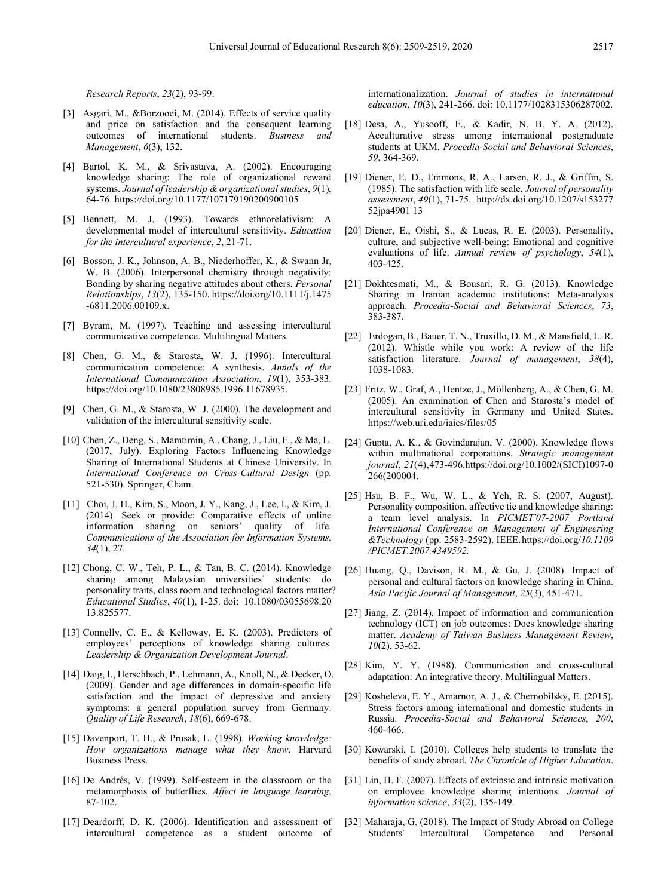*Research Reports*, *23*(2), 93-99.

- [3] Asgari, M., &Borzooei, M. (2014). Effects of service quality and price on satisfaction and the consequent learning outcomes of international students. *Business and Management*, *6*(3), 132.
- [4] Bartol, K. M., & Srivastava, A. (2002). Encouraging knowledge sharing: The role of organizational reward systems. *Journal of leadership & organizational studies*, *9*(1), 64-76. <https://doi.org/10.1177/107179190200900105>
- [5] Bennett, M. J. (1993). Towards ethnorelativism: A developmental model of intercultural sensitivity. *Education for the intercultural experience*, *2*, 21-71.
- [6] Bosson, J. K., Johnson, A. B., Niederhoffer, K., & Swann Jr, W. B. (2006). Interpersonal chemistry through negativity: Bonding by sharing negative attitudes about others. *Personal Relationships*, *13*(2), 135-150[.](https://doi.org/10.1111/j.1475-6811.2006.00109.x) [https://doi.org/10.1111/j.1475](https://doi.org/10.1111/j.1475-6811.2006.00109.x) [-6811.2006.00109.x.](https://doi.org/10.1111/j.1475-6811.2006.00109.x)
- [7] Byram, M. (1997). Teaching and assessing intercultural communicative competence. Multilingual Matters.
- [8] Chen, G. M., & Starosta, W. J. (1996). Intercultural communication competence: A synthesis. *Annals of the International Communication Association*, *19*(1), 353-383. [https://doi.org/10.1080/23808985.1996.11678935.](https://doi.org/10.1080/23808985.1996.11678935)
- [9] Chen, G. M., & Starosta, W. J. (2000). The development and validation of the intercultural sensitivity scale.
- [10] Chen, Z., Deng, S., Mamtimin, A., Chang, J., Liu, F., & Ma, L. (2017, July). Exploring Factors Influencing Knowledge Sharing of International Students at Chinese University. In *International Conference on Cross-Cultural Design* (pp. 521-530). Springer, Cham.
- [11] Choi, J. H., Kim, S., Moon, J. Y., Kang, J., Lee, I., & Kim, J. (2014). Seek or provide: Comparative effects of online information sharing on seniors' quality of life. *Communications of the Association for Information Systems*, *34*(1), 27.
- [12] Chong, C. W., Teh, P. L., & Tan, B. C. (2014). Knowledge sharing among Malaysian universities' students: do personality traits, class room and technological factors matter? *Educational Studies*, *40*(1), 1-25. doi: 10.1080/03055698.20 13.825577.
- [13] Connelly, C. E., & Kelloway, E. K. (2003). Predictors of employees' perceptions of knowledge sharing cultures. *Leadership & Organization Development Journal*.
- [14] Daig, I., Herschbach, P., Lehmann, A., Knoll, N., & Decker, O. (2009). Gender and age differences in domain-specific life satisfaction and the impact of depressive and anxiety symptoms: a general population survey from Germany. *Quality of Life Research*, *18*(6), 669-678.
- [15] Davenport, T. H., & Prusak, L. (1998). *Working knowledge: How organizations manage what they know*. Harvard Business Press.
- [16] De Andrés, V. (1999). Self-esteem in the classroom or the metamorphosis of butterflies. *Affect in language learning*, 87-102.
- [17] Deardorff, D. K. (2006). Identification and assessment of intercultural competence as a student outcome of

internationalization. *Journal of studies in international education*, *10*(3), 241-266. doi: 10.1177/1028315306287002.

- [18] Desa, A., Yusooff, F., & Kadir, N. B. Y. A. (2012). Acculturative stress among international postgraduate students at UKM. *Procedia-Social and Behavioral Sciences*, *59*, 364-369.
- [19] Diener, E. D., Emmons, R. A., Larsen, R. J., & Griffin, S. (1985). The satisfaction with life scale. *Journal of personality assessment*, *49*(1), 71-75[.](http://dx.doi.org/10.1207/s15327752jpa4901%2013) [http://dx.doi.org/10.1207/s153277](http://dx.doi.org/10.1207/s15327752jpa4901%2013) [52jpa4901](http://dx.doi.org/10.1207/s15327752jpa4901%2013) 13
- [20] Diener, E., Oishi, S., & Lucas, R. E. (2003). Personality, culture, and subjective well-being: Emotional and cognitive evaluations of life. *Annual review of psychology*, *54*(1), 403-425.
- [21] Dokhtesmati, M., & Bousari, R. G. (2013). Knowledge Sharing in Iranian academic institutions: Meta-analysis approach. *Procedia-Social and Behavioral Sciences*, *73*, 383-387.
- [22] Erdogan, B., Bauer, T. N., Truxillo, D. M., & Mansfield, L. R. (2012). Whistle while you work: A review of the life satisfaction literature. *Journal of management*, *38*(4), 1038-1083.
- [23] Fritz, W., Graf, A., Hentze, J., Möllenberg, A., & Chen, G. M. (2005). An examination of Chen and Starosta's model of intercultural sensitivity in Germany and United States. https://web.uri.edu/iaics/files/05
- [24] Gupta, A. K., & Govindarajan, V. (2000). Knowledge flows within multinational corporations. *Strategic management journal*, *21*(4),473-49[6.https://doi.org/10.1002/\(SICI\)1097-0](https://doi.org/10.1002/(SICI)1097-0266(200004)21:4%3C473::AID-SMJ84%3E3.0.CO;2-I) [266\(200004.](https://doi.org/10.1002/(SICI)1097-0266(200004)21:4%3C473::AID-SMJ84%3E3.0.CO;2-I)
- [25] Hsu, B. F., Wu, W. L., & Yeh, R. S. (2007, August). Personality composition, affective tie and knowledge sharing: a team level analysis. In *PICMET'07-2007 Portland International Conference on Management of Engineering &Technology* (pp. 2583-2592). IEEE.https://doi.org/*10.1109 /PICMET.2007.4349592.*
- [26] Huang, Q., Davison, R. M., & Gu, J. (2008). Impact of personal and cultural factors on knowledge sharing in China. *Asia Pacific Journal of Management*, *25*(3), 451-471.
- [27] Jiang, Z. (2014). Impact of information and communication technology (ICT) on job outcomes: Does knowledge sharing matter. *Academy of Taiwan Business Management Review*, *10*(2), 53-62.
- [28] Kim, Y. Y. (1988). Communication and cross-cultural adaptation: An integrative theory. Multilingual Matters.
- [29] Kosheleva, E. Y., Amarnor, A. J., & Chernobilsky, E. (2015). Stress factors among international and domestic students in Russia. *Procedia-Social and Behavioral Sciences*, *200*, 460-466.
- [30] Kowarski, I. (2010). Colleges help students to translate the benefits of study abroad. *The Chronicle of Higher Education*.
- [31] Lin, H. F. (2007). Effects of extrinsic and intrinsic motivation on employee knowledge sharing intentions. *Journal of information science*, *33*(2), 135-149.
- [32] Maharaja, G. (2018). The Impact of Study Abroad on College Students' Intercultural Competence and Personal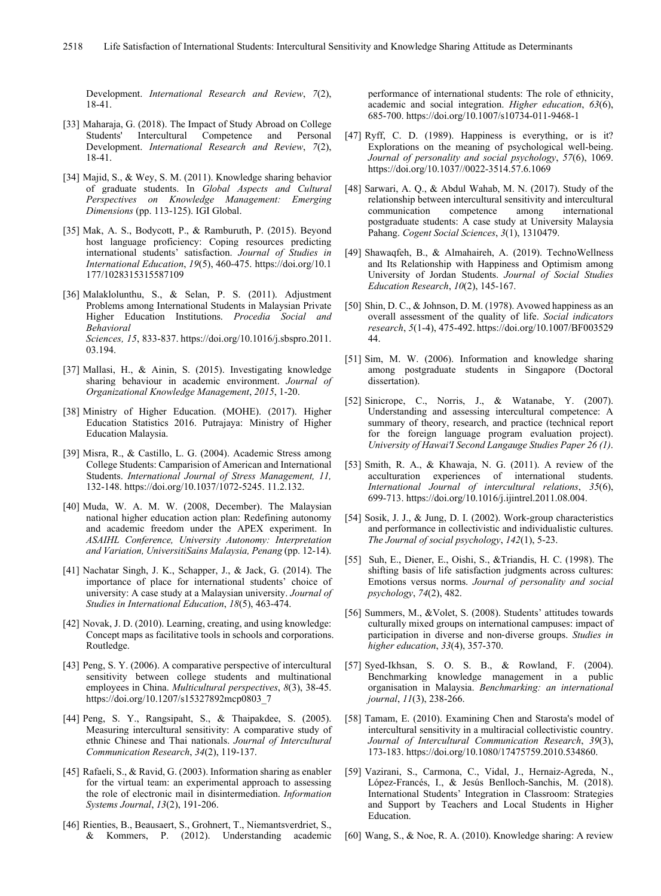Development. *International Research and Review*, *7*(2), 18-41.

- [33] Maharaja, G. (2018). The Impact of Study Abroad on College Students' Intercultural Competence and Personal Development. *International Research and Review*, *7*(2), 18-41.
- [34] Majid, S., & Wey, S. M. (2011). Knowledge sharing behavior of graduate students. In *Global Aspects and Cultural Perspectives on Knowledge Management: Emerging Dimensions* (pp. 113-125). IGI Global.
- [35] Mak, A. S., Bodycott, P., & Ramburuth, P. (2015). Beyond host language proficiency: Coping resources predicting international students' satisfaction. *Journal of Studies in International Education*, *19*(5), 460-475[.](https://doi.org/10.1177/1028315315587109) [https://doi.org/10.1](https://doi.org/10.1177/1028315315587109) [177/1028315315587109](https://doi.org/10.1177/1028315315587109)
- [36] Malaklolunthu, S., & Selan, P. S. (2011). Adjustment Problems among International Students in Malaysian Private Higher Education Institutions. *Procedia Social and Behavioral Sciences, 15*, 833-837[.](https://doi.org/10.1016/j.sbspro.2011.03.194) [https://doi.org/10.1016/j.sbspro.2011.](https://doi.org/10.1016/j.sbspro.2011.03.194) [03.194.](https://doi.org/10.1016/j.sbspro.2011.03.194)
- [37] Mallasi, H., & Ainin, S. (2015). Investigating knowledge sharing behaviour in academic environment. *Journal of Organizational Knowledge Management*, *2015*, 1-20.
- [38] Ministry of Higher Education. (MOHE). (2017). Higher Education Statistics 2016. Putrajaya: Ministry of Higher Education Malaysia.
- [39] Misra, R., & Castillo, L. G. (2004). Academic Stress among College Students: Camparision of American and International Students. *International Journal of Stress Management, 11,* 132-148. https://doi.org/10.1037/1072-5245. 11.2.132.
- [40] Muda, W. A. M. W. (2008, December). The Malaysian national higher education action plan: Redefining autonomy and academic freedom under the APEX experiment. In *ASAIHL Conference, University Autonomy: Interpretation and Variation, UniversitiSains Malaysia, Penang* (pp. 12-14).
- [41] Nachatar Singh, J. K., Schapper, J., & Jack, G. (2014). The importance of place for international students' choice of university: A case study at a Malaysian university. *Journal of Studies in International Education*, *18*(5), 463-474.
- [42] Novak, J. D. (2010). Learning, creating, and using knowledge: Concept maps as facilitative tools in schools and corporations. Routledge.
- [43] Peng, S. Y. (2006). A comparative perspective of intercultural sensitivity between college students and multinational employees in China. *Multicultural perspectives*, *8*(3), 38-45. [https://doi.org/10.1207/s15327892mcp0803\\_7](https://doi.org/10.1207/s15327892mcp0803_7)
- [44] Peng, S. Y., Rangsipaht, S., & Thaipakdee, S. (2005). Measuring intercultural sensitivity: A comparative study of ethnic Chinese and Thai nationals. *Journal of Intercultural Communication Research*, *34*(2), 119-137.
- [45] Rafaeli, S., & Ravid, G. (2003). Information sharing as enabler for the virtual team: an experimental approach to assessing the role of electronic mail in disintermediation. *Information Systems Journal*, *13*(2), 191-206.
- [46] Rienties, B., Beausaert, S., Grohnert, T., Niemantsverdriet, S., & Kommers, P. (2012). Understanding academic

performance of international students: The role of ethnicity, academic and social integration. *Higher education*, *63*(6), 685-700. <https://doi.org/10.1007/s10734-011-9468-1>

- [47] Ryff, C. D. (1989). Happiness is everything, or is it? Explorations on the meaning of psychological well-being. *Journal of personality and social psychology*, *57*(6), 1069. [https://doi.org/10.1037//0022-3514.57.6.1069](https://doi.org/10.1037/0022-3514.57.6.1069)
- [48] Sarwari, A. Q., & Abdul Wahab, M. N. (2017). Study of the relationship between intercultural sensitivity and intercultural<br>communication competence among international communication postgraduate students: A case study at University Malaysia Pahang. *Cogent Social Sciences*, *3*(1), 1310479.
- [49] Shawaqfeh, B., & Almahaireh, A. (2019). TechnoWellness and Its Relationship with Happiness and Optimism among University of Jordan Students. *Journal of Social Studies Education Research*, *10*(2), 145-167.
- [50] Shin, D. C., & Johnson, D. M. (1978). Avowed happiness as an overall assessment of the quality of life. *Social indicators research*, *5*(1-4), 475-492. https://doi.org/10.1007/BF003529 44.
- [51] Sim, M. W. (2006). Information and knowledge sharing among postgraduate students in Singapore (Doctoral dissertation).
- [52] Sinicrope, C., Norris, J., & Watanabe, Y. (2007). Understanding and assessing intercultural competence: A summary of theory, research, and practice (technical report for the foreign language program evaluation project). *University of Hawai'I Second Langauge Studies Paper 26 (1)*.
- [53] Smith, R. A., & Khawaja, N. G. (2011). A review of the acculturation experiences of international students. *International Journal of intercultural relations*, *35*(6), 699-713. https://doi.org/10.1016/j.ijintrel.2011.08.004.
- [54] Sosik, J. J., & Jung, D. I. (2002). Work-group characteristics and performance in collectivistic and individualistic cultures. *The Journal of social psychology*, *142*(1), 5-23.
- [55] Suh, E., Diener, E., Oishi, S., &Triandis, H. C. (1998). The shifting basis of life satisfaction judgments across cultures: Emotions versus norms. *Journal of personality and social psychology*, *74*(2), 482.
- [56] Summers, M., &Volet, S. (2008). Students' attitudes towards culturally mixed groups on international campuses: impact of participation in diverse and non‐diverse groups. *Studies in higher education*, *33*(4), 357-370.
- [57] Syed-Ikhsan, S. O. S. B., & Rowland, F. (2004). Benchmarking knowledge management in a public organisation in Malaysia. *Benchmarking: an international journal*, *11*(3), 238-266.
- [58] Tamam, E. (2010). Examining Chen and Starosta's model of intercultural sensitivity in a multiracial collectivistic country. *Journal of Intercultural Communication Research*, *39*(3), 173-183. https://doi.org/10.1080/17475759.2010.534860.
- [59] Vazirani, S., Carmona, C., Vidal, J., Hernaiz-Agreda, N., López-Francés, I., & Jesús Benlloch-Sanchis, M. (2018). International Students' Integration in Classroom: Strategies and Support by Teachers and Local Students in Higher Education.
- [60] Wang, S., & Noe, R. A. (2010). Knowledge sharing: A review